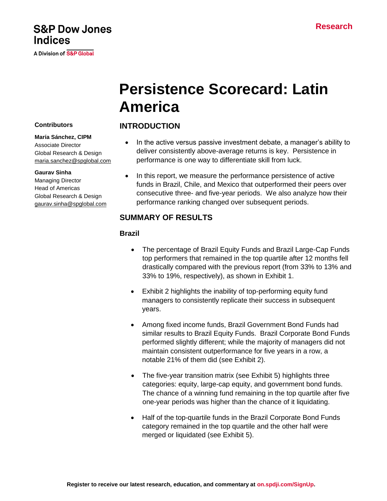## **S&P Dow Jones Indices**

A Division of S&P Global

# **Persistence Scorecard: Latin America**

## **INTRODUCTION**

- In the active versus passive investment debate, a manager's ability to deliver consistently above-average returns is key. Persistence in performance is one way to differentiate skill from luck.
- In this report, we measure the performance persistence of active funds in Brazil, Chile, and Mexico that outperformed their peers over consecutive three- and five-year periods. We also analyze how their performance ranking changed over subsequent periods.

## **SUMMARY OF RESULTS**

#### **Brazil**

- The percentage of Brazil Equity Funds and Brazil Large-Cap Funds top performers that remained in the top quartile after 12 months fell drastically compared with the previous report (from 33% to 13% and 33% to 19%, respectively), as shown in Exhibit 1.
- Exhibit 2 highlights the inability of top-performing equity fund managers to consistently replicate their success in subsequent years.
- Among fixed income funds, Brazil Government Bond Funds had similar results to Brazil Equity Funds. Brazil Corporate Bond Funds performed slightly different; while the majority of managers did not maintain consistent outperformance for five years in a row, a notable 21% of them did (see Exhibit 2).
- The five-year transition matrix (see Exhibit 5) highlights three categories: equity, large-cap equity, and government bond funds. The chance of a winning fund remaining in the top quartile after five one-year periods was higher than the chance of it liquidating.
- Half of the top-quartile funds in the Brazil Corporate Bond Funds category remained in the top quartile and the other half were merged or liquidated (see Exhibit 5).

#### **Contributors**

#### **Marίa Sánchez, CIPM**

Associate Director Global Research & Design [maria.sanchez@spglobal.com](mailto:maria.sanchez@spglobal.com)

#### **Gaurav Sinha**

Managing Director Head of Americas Global Research & Design [gaurav.sinha@spglobal.com](mailto:gaurav.sinha@spglobal.com)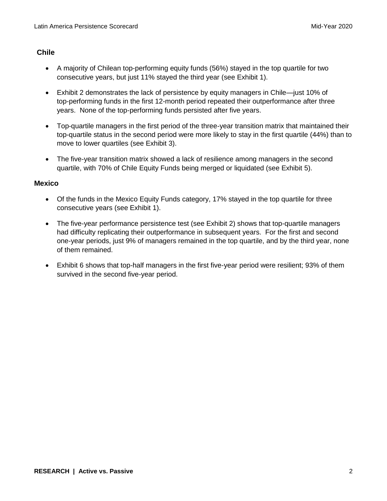#### **Chile**

- A majority of Chilean top-performing equity funds (56%) stayed in the top quartile for two consecutive years, but just 11% stayed the third year (see Exhibit 1).
- Exhibit 2 demonstrates the lack of persistence by equity managers in Chile—just 10% of top-performing funds in the first 12-month period repeated their outperformance after three years. None of the top-performing funds persisted after five years.
- Top-quartile managers in the first period of the three-year transition matrix that maintained their top-quartile status in the second period were more likely to stay in the first quartile (44%) than to move to lower quartiles (see Exhibit 3).
- The five-year transition matrix showed a lack of resilience among managers in the second quartile, with 70% of Chile Equity Funds being merged or liquidated (see Exhibit 5).

#### **Mexico**

- Of the funds in the Mexico Equity Funds category, 17% stayed in the top quartile for three consecutive years (see Exhibit 1).
- The five-year performance persistence test (see Exhibit 2) shows that top-quartile managers had difficulty replicating their outperformance in subsequent years. For the first and second one-year periods, just 9% of managers remained in the top quartile, and by the third year, none of them remained.
- Exhibit 6 shows that top-half managers in the first five-year period were resilient; 93% of them survived in the second five-year period.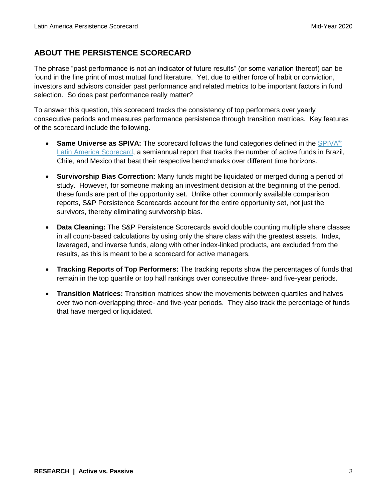## **ABOUT THE PERSISTENCE SCORECARD**

The phrase "past performance is not an indicator of future results" (or some variation thereof) can be found in the fine print of most mutual fund literature. Yet, due to either force of habit or conviction, investors and advisors consider past performance and related metrics to be important factors in fund selection. So does past performance really matter?

To answer this question, this scorecard tracks the consistency of top performers over yearly consecutive periods and measures performance persistence through transition matrices. Key features of the scorecard include the following.

- **Same Universe as [SPIVA](https://www.spglobal.com/spdji/en/spiva/article/spiva-latin-america/):** The scorecard follows the fund categories defined in the SPIVA<sup>®</sup> [Latin America Scorecard,](https://www.spglobal.com/spdji/en/spiva/article/spiva-latin-america/) a semiannual report that tracks the number of active funds in Brazil, Chile, and Mexico that beat their respective benchmarks over different time horizons.
- **Survivorship Bias Correction:** Many funds might be liquidated or merged during a period of study. However, for someone making an investment decision at the beginning of the period, these funds are part of the opportunity set. Unlike other commonly available comparison reports, S&P Persistence Scorecards account for the entire opportunity set, not just the survivors, thereby eliminating survivorship bias.
- **Data Cleaning:** The S&P Persistence Scorecards avoid double counting multiple share classes in all count-based calculations by using only the share class with the greatest assets. Index, leveraged, and inverse funds, along with other index-linked products, are excluded from the results, as this is meant to be a scorecard for active managers.
- **Tracking Reports of Top Performers:** The tracking reports show the percentages of funds that remain in the top quartile or top half rankings over consecutive three- and five-year periods.
- **Transition Matrices:** Transition matrices show the movements between quartiles and halves over two non-overlapping three- and five-year periods. They also track the percentage of funds that have merged or liquidated.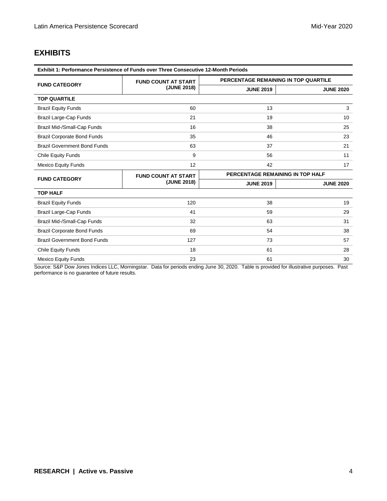## **EXHIBITS**

| <b>Exhibit 1: Performance Persistence of Funds over Three Consecutive 12-Month Periods</b> |                            |                                  |                                      |  |  |  |  |
|--------------------------------------------------------------------------------------------|----------------------------|----------------------------------|--------------------------------------|--|--|--|--|
| <b>FUND CATEGORY</b>                                                                       | <b>FUND COUNT AT START</b> |                                  | PERCENTAGE REMAINING IN TOP QUARTILE |  |  |  |  |
|                                                                                            | (JUNE 2018)                | <b>JUNE 2019</b>                 | <b>JUNE 2020</b>                     |  |  |  |  |
| <b>TOP QUARTILE</b>                                                                        |                            |                                  |                                      |  |  |  |  |
| <b>Brazil Equity Funds</b>                                                                 | 60                         | 13                               | 3                                    |  |  |  |  |
| Brazil Large-Cap Funds                                                                     | 21                         | 19                               | 10                                   |  |  |  |  |
| Brazil Mid-/Small-Cap Funds                                                                | 16                         | 38                               | 25                                   |  |  |  |  |
| <b>Brazil Corporate Bond Funds</b>                                                         | 35                         | 46                               | 23                                   |  |  |  |  |
| <b>Brazil Government Bond Funds</b>                                                        | 63                         | 37                               | 21                                   |  |  |  |  |
| <b>Chile Equity Funds</b>                                                                  | 9                          | 56                               | 11                                   |  |  |  |  |
| <b>Mexico Equity Funds</b>                                                                 | 12                         | 42                               | 17                                   |  |  |  |  |
| <b>FUND CATEGORY</b>                                                                       | <b>FUND COUNT AT START</b> | PERCENTAGE REMAINING IN TOP HALF |                                      |  |  |  |  |
|                                                                                            | (JUNE 2018)                | <b>JUNE 2019</b>                 | <b>JUNE 2020</b>                     |  |  |  |  |
| <b>TOP HALF</b>                                                                            |                            |                                  |                                      |  |  |  |  |
| <b>Brazil Equity Funds</b>                                                                 | 120                        | 38                               | 19                                   |  |  |  |  |
| Brazil Large-Cap Funds                                                                     | 41                         | 59                               | 29                                   |  |  |  |  |
| Brazil Mid-/Small-Cap Funds                                                                | 32                         | 63                               | 31                                   |  |  |  |  |
| <b>Brazil Corporate Bond Funds</b>                                                         | 69                         | 54                               | 38                                   |  |  |  |  |
| <b>Brazil Government Bond Funds</b>                                                        | 127                        | 73                               | 57                                   |  |  |  |  |
| Chile Equity Funds                                                                         | 18                         | 61                               | 28                                   |  |  |  |  |
| <b>Mexico Equity Funds</b>                                                                 | 23                         | 61                               | 30                                   |  |  |  |  |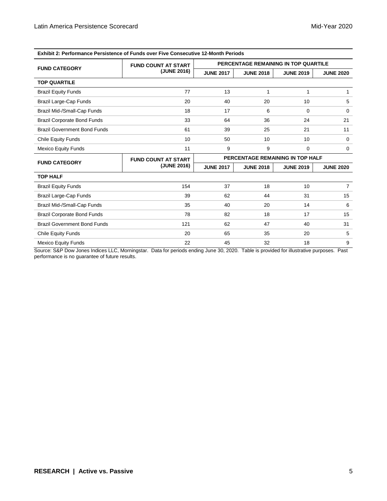| Exhibit 2: Performance Persistence of Funds over Five Consecutive 12-Month Periods |                            |                                      |                  |                  |                  |
|------------------------------------------------------------------------------------|----------------------------|--------------------------------------|------------------|------------------|------------------|
|                                                                                    | <b>FUND COUNT AT START</b> | PERCENTAGE REMAINING IN TOP QUARTILE |                  |                  |                  |
| <b>FUND CATEGORY</b>                                                               | (JUNE 2016)                | <b>JUNE 2017</b>                     | <b>JUNE 2018</b> | <b>JUNE 2019</b> | <b>JUNE 2020</b> |
| <b>TOP QUARTILE</b>                                                                |                            |                                      |                  |                  |                  |
| <b>Brazil Equity Funds</b>                                                         | 77                         | 13                                   | 1                | 1                | 1                |
| Brazil Large-Cap Funds                                                             | 20                         | 40                                   | 20               | 10               | 5                |
| Brazil Mid-/Small-Cap Funds                                                        | 18                         | 17                                   | 6                | 0                | 0                |
| Brazil Corporate Bond Funds                                                        | 33                         | 64                                   | 36               | 24               | 21               |
| <b>Brazil Government Bond Funds</b>                                                | 61                         | 39                                   | 25               | 21               | 11               |
| <b>Chile Equity Funds</b>                                                          | 10                         | 50                                   | 10               | 10               | $\Omega$         |
| <b>Mexico Equity Funds</b>                                                         | 11                         | 9                                    | 9                | 0                | 0                |
| <b>FUND CATEGORY</b>                                                               | <b>FUND COUNT AT START</b> | PERCENTAGE REMAINING IN TOP HALF     |                  |                  |                  |
|                                                                                    | (JUNE 2016)                | <b>JUNE 2017</b>                     | <b>JUNE 2018</b> | <b>JUNE 2019</b> | <b>JUNE 2020</b> |
| <b>TOP HALF</b>                                                                    |                            |                                      |                  |                  |                  |
| <b>Brazil Equity Funds</b>                                                         | 154                        | 37                                   | 18               | 10               | $\overline{7}$   |
| Brazil Large-Cap Funds                                                             | 39                         | 62                                   | 44               | 31               | 15               |
| Brazil Mid-/Small-Cap Funds                                                        | 35                         | 40                                   | 20               | 14               | 6                |
| <b>Brazil Corporate Bond Funds</b>                                                 | 78                         | 82                                   | 18               | 17               | 15               |
| <b>Brazil Government Bond Funds</b>                                                | 121                        | 62                                   | 47               | 40               | 31               |
| <b>Chile Equity Funds</b>                                                          | 20                         | 65                                   | 35               | 20               | 5                |
| <b>Mexico Equity Funds</b>                                                         | 22                         | 45                                   | 32               | 18               | 9                |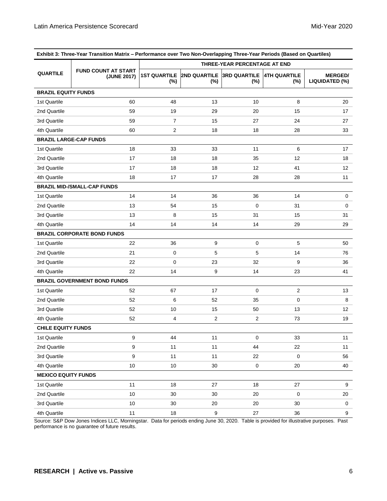| Exhibit 3: Three-Year Transition Matrix - Performance over Two Non-Overlapping Three-Year Periods (Based on Quartiles) |                                           |                               |                                         |            |                               |                                  |  |
|------------------------------------------------------------------------------------------------------------------------|-------------------------------------------|-------------------------------|-----------------------------------------|------------|-------------------------------|----------------------------------|--|
|                                                                                                                        |                                           | THREE-YEAR PERCENTAGE AT END  |                                         |            |                               |                                  |  |
| <b>QUARTILE</b>                                                                                                        | <b>FUND COUNT AT START</b><br>(JUNE 2017) | <b>1ST QUARTILE</b><br>$(\%)$ | <b>2ND QUARTILE 3RD QUARTILE</b><br>(%) | $(\%)$     | <b>4TH QUARTILE</b><br>$(\%)$ | <b>MERGED/</b><br>LIQUIDATED (%) |  |
| <b>BRAZIL EQUITY FUNDS</b>                                                                                             |                                           |                               |                                         |            |                               |                                  |  |
| 1st Quartile                                                                                                           | 60                                        | 48                            | 13                                      | 10         | 8                             | 20                               |  |
| 2nd Quartile                                                                                                           | 59                                        | 19                            | 29                                      | 20         | 15                            | 17                               |  |
| 3rd Quartile                                                                                                           | 59                                        | 7                             | 15                                      | 27         | 24                            | 27                               |  |
| 4th Quartile                                                                                                           | 60                                        | 2                             | 18                                      | 18         | 28                            | 33                               |  |
|                                                                                                                        | <b>BRAZIL LARGE-CAP FUNDS</b>             |                               |                                         |            |                               |                                  |  |
| 1st Quartile                                                                                                           | 18                                        | 33                            | 33                                      | 11         | 6                             | 17                               |  |
| 2nd Quartile                                                                                                           | 17                                        | 18                            | 18                                      | 35         | 12                            | 18                               |  |
| 3rd Quartile                                                                                                           | 17                                        | 18                            | 18                                      | 12         | 41                            | 12                               |  |
| 4th Quartile                                                                                                           | 18                                        | 17                            | 17                                      | 28         | 28                            | 11                               |  |
|                                                                                                                        | <b>BRAZIL MID-/SMALL-CAP FUNDS</b>        |                               |                                         |            |                               |                                  |  |
| 1st Quartile                                                                                                           | 14                                        | 14                            | 36                                      | 36         | 14                            | $\mathbf 0$                      |  |
| 2nd Quartile                                                                                                           | 13                                        | 54                            | 15                                      | $\pmb{0}$  | 31                            | 0                                |  |
| 3rd Quartile                                                                                                           | 13                                        | 8                             | 15                                      | 31         | 15                            | 31                               |  |
| 4th Quartile                                                                                                           | 14                                        | 14                            | 14                                      | 14         | 29                            | 29                               |  |
| <b>BRAZIL CORPORATE BOND FUNDS</b>                                                                                     |                                           |                               |                                         |            |                               |                                  |  |
| 1st Quartile                                                                                                           | 22                                        | 36                            | 9                                       | 0          | 5                             | 50                               |  |
| 2nd Quartile                                                                                                           | 21                                        | 0                             | 5                                       | 5          | 14                            | 76                               |  |
| 3rd Quartile                                                                                                           | 22                                        | 0                             | 23                                      | 32         | 9                             | 36                               |  |
| 4th Quartile                                                                                                           | 22                                        | 14                            | 9                                       | 14         | 23                            | 41                               |  |
| <b>BRAZIL GOVERNMENT BOND FUNDS</b>                                                                                    |                                           |                               |                                         |            |                               |                                  |  |
| 1st Quartile                                                                                                           | 52                                        | 67                            | 17                                      | 0          | $\overline{c}$                | 13                               |  |
| 2nd Quartile                                                                                                           | 52                                        | 6                             | 52                                      | 35         | 0                             | 8                                |  |
| 3rd Quartile                                                                                                           | 52                                        | 10                            | 15                                      | 50         | 13                            | 12                               |  |
| 4th Quartile                                                                                                           | 52                                        | 4                             | $\sqrt{2}$                              | $\sqrt{2}$ | 73                            | 19                               |  |
| <b>CHILE EQUITY FUNDS</b>                                                                                              |                                           |                               |                                         |            |                               |                                  |  |
| 1st Quartile                                                                                                           | 9                                         | 44                            | 11                                      | 0          | 33                            | 11                               |  |
| 2nd Quartile                                                                                                           | 9                                         | 11                            | 11                                      | 44         | 22                            | 11                               |  |
| 3rd Quartile                                                                                                           | 9                                         | 11                            | 11                                      | 22         | $\mathbf 0$                   | 56                               |  |
| 4th Quartile                                                                                                           | 10                                        | 10                            | 30                                      | $\pmb{0}$  | 20                            | 40                               |  |
| <b>MEXICO EQUITY FUNDS</b>                                                                                             |                                           |                               |                                         |            |                               |                                  |  |
| 1st Quartile                                                                                                           | 11                                        | 18                            | 27                                      | 18         | 27                            | 9                                |  |
| 2nd Quartile                                                                                                           | 10                                        | 30                            | 30                                      | 20         | $\pmb{0}$                     | 20                               |  |
| 3rd Quartile                                                                                                           | 10                                        | 30                            | 20                                      | 20         | 30                            | $\mathbf 0$                      |  |
| 4th Quartile                                                                                                           | 11                                        | 18                            | $\boldsymbol{9}$                        | $27\,$     | 36                            | 9                                |  |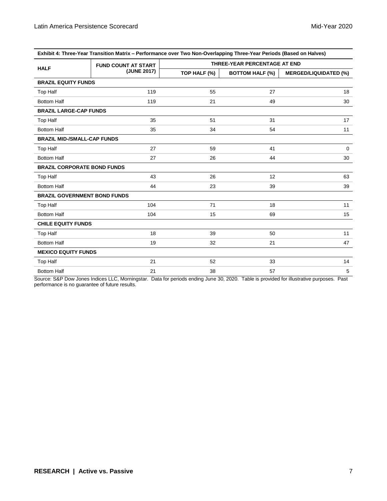| Exhibit 4: Three-Year Transition Matrix – Performance over Two Non-Overlapping Three-Year Periods (Based on Halves) |                            |                              |                        |                              |  |
|---------------------------------------------------------------------------------------------------------------------|----------------------------|------------------------------|------------------------|------------------------------|--|
|                                                                                                                     | <b>FUND COUNT AT START</b> | THREE-YEAR PERCENTAGE AT END |                        |                              |  |
| <b>HALF</b>                                                                                                         | (JUNE 2017)                | TOP HALF (%)                 | <b>BOTTOM HALF (%)</b> | <b>MERGED/LIQUIDATED (%)</b> |  |
| <b>BRAZIL EQUITY FUNDS</b>                                                                                          |                            |                              |                        |                              |  |
| <b>Top Half</b>                                                                                                     | 119                        | 55                           | 27                     | 18                           |  |
| <b>Bottom Half</b>                                                                                                  | 119                        | 21                           | 49                     | 30                           |  |
| <b>BRAZIL LARGE-CAP FUNDS</b>                                                                                       |                            |                              |                        |                              |  |
| Top Half                                                                                                            | 35                         | 51                           | 31                     | 17                           |  |
| <b>Bottom Half</b>                                                                                                  | 35                         | 34                           | 54                     | 11                           |  |
| <b>BRAZIL MID-/SMALL-CAP FUNDS</b>                                                                                  |                            |                              |                        |                              |  |
| <b>Top Half</b>                                                                                                     | 27                         | 59                           | 41                     | $\Omega$                     |  |
| <b>Bottom Half</b>                                                                                                  | 27                         | 26                           | 44                     | 30                           |  |
| <b>BRAZIL CORPORATE BOND FUNDS</b>                                                                                  |                            |                              |                        |                              |  |
| <b>Top Half</b>                                                                                                     | 43                         | 26                           | 12                     | 63                           |  |
| <b>Bottom Half</b>                                                                                                  | 44                         | 23                           | 39                     | 39                           |  |
| <b>BRAZIL GOVERNMENT BOND FUNDS</b>                                                                                 |                            |                              |                        |                              |  |
| <b>Top Half</b>                                                                                                     | 104                        | 71                           | 18                     | 11                           |  |
| <b>Bottom Half</b>                                                                                                  | 104                        | 15                           | 69                     | 15                           |  |
| <b>CHILE EQUITY FUNDS</b>                                                                                           |                            |                              |                        |                              |  |
| <b>Top Half</b>                                                                                                     | 18                         | 39                           | 50                     | 11                           |  |
| <b>Bottom Half</b>                                                                                                  | 19                         | 32                           | 21                     | 47                           |  |
| <b>MEXICO EQUITY FUNDS</b>                                                                                          |                            |                              |                        |                              |  |
| <b>Top Half</b>                                                                                                     | 21                         | 52                           | 33                     | 14                           |  |
| <b>Bottom Half</b>                                                                                                  | 21                         | 38                           | 57                     | 5                            |  |

**Exhibit 4: Three-Year Transition Matrix – Performance over Two Non-Overlapping Three-Year Periods (Based on Halves)**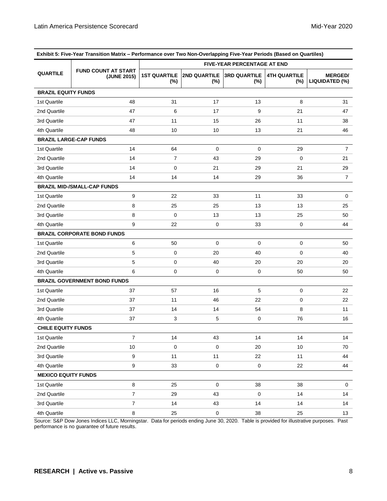| Exhibit 5: Five-Year Transition Matrix - Performance over Two Non-Overlapping Five-Year Periods (Based on Quartiles) |                                           |                                    |                        |                               |                            |                                  |  |
|----------------------------------------------------------------------------------------------------------------------|-------------------------------------------|------------------------------------|------------------------|-------------------------------|----------------------------|----------------------------------|--|
|                                                                                                                      |                                           | <b>FIVE-YEAR PERCENTAGE AT END</b> |                        |                               |                            |                                  |  |
| <b>QUARTILE</b>                                                                                                      | <b>FUND COUNT AT START</b><br>(JUNE 2015) | <b>1ST QUARTILE</b><br>(%)         | 2ND QUARTILE<br>$(\%)$ | <b>3RD QUARTILE</b><br>$(\%)$ | <b>4TH QUARTILE</b><br>(%) | <b>MERGED/</b><br>LIQUIDATED (%) |  |
| <b>BRAZIL EQUITY FUNDS</b>                                                                                           |                                           |                                    |                        |                               |                            |                                  |  |
| 1st Quartile                                                                                                         | 48                                        | 31                                 | 17                     | 13                            | 8                          | 31                               |  |
| 2nd Quartile                                                                                                         | 47                                        | 6                                  | 17                     | 9                             | 21                         | 47                               |  |
| 3rd Quartile                                                                                                         | 47                                        | 11                                 | 15                     | 26                            | 11                         | 38                               |  |
| 4th Quartile                                                                                                         | 48                                        | 10                                 | 10                     | 13                            | 21                         | 46                               |  |
|                                                                                                                      | <b>BRAZIL LARGE-CAP FUNDS</b>             |                                    |                        |                               |                            |                                  |  |
| 1st Quartile                                                                                                         | 14                                        | 64                                 | 0                      | 0                             | 29                         | $\overline{7}$                   |  |
| 2nd Quartile                                                                                                         | 14                                        | 7                                  | 43                     | 29                            | 0                          | 21                               |  |
| 3rd Quartile                                                                                                         | 14                                        | 0                                  | 21                     | 29                            | 21                         | 29                               |  |
| 4th Quartile                                                                                                         | 14                                        | 14                                 | 14                     | 29                            | 36                         | $\overline{7}$                   |  |
|                                                                                                                      | <b>BRAZIL MID-/SMALL-CAP FUNDS</b>        |                                    |                        |                               |                            |                                  |  |
| 1st Quartile                                                                                                         | 9                                         | 22                                 | 33                     | 11                            | 33                         | 0                                |  |
| 2nd Quartile                                                                                                         | 8                                         | 25                                 | 25                     | 13                            | 13                         | 25                               |  |
| 3rd Quartile                                                                                                         | 8                                         | 0                                  | 13                     | 13                            | 25                         | 50                               |  |
| 4th Quartile                                                                                                         | 9                                         | 22                                 | 0                      | 33                            | 0                          | 44                               |  |
| <b>BRAZIL CORPORATE BOND FUNDS</b>                                                                                   |                                           |                                    |                        |                               |                            |                                  |  |
| 1st Quartile                                                                                                         | 6                                         | 50                                 | 0                      | 0                             | 0                          | 50                               |  |
| 2nd Quartile                                                                                                         | 5                                         | 0                                  | 20                     | 40                            | 0                          | 40                               |  |
| 3rd Quartile                                                                                                         | 5                                         | 0                                  | 40                     | 20                            | 20                         | 20                               |  |
| 4th Quartile                                                                                                         | 6                                         | 0                                  | 0                      | $\mathbf 0$                   | 50                         | 50                               |  |
| <b>BRAZIL GOVERNMENT BOND FUNDS</b>                                                                                  |                                           |                                    |                        |                               |                            |                                  |  |
| 1st Quartile                                                                                                         | 37                                        | 57                                 | 16                     | 5                             | 0                          | 22                               |  |
| 2nd Quartile                                                                                                         | 37                                        | 11                                 | 46                     | 22                            | 0                          | 22                               |  |
| 3rd Quartile                                                                                                         | 37                                        | 14                                 | 14                     | 54                            | 8                          | 11                               |  |
| 4th Quartile                                                                                                         | 37                                        | 3                                  | 5                      | 0                             | 76                         | 16                               |  |
| <b>CHILE EQUITY FUNDS</b>                                                                                            |                                           |                                    |                        |                               |                            |                                  |  |
| 1st Quartile                                                                                                         | $\overline{7}$                            | 14                                 | 43                     | 14                            | 14                         | 14                               |  |
| 2nd Quartile                                                                                                         | $10\,$                                    | 0                                  | $\pmb{0}$              | 20                            | 10                         | 70                               |  |
| 3rd Quartile                                                                                                         | 9                                         | 11                                 | 11                     | 22                            | 11                         | 44                               |  |
| 4th Quartile                                                                                                         | $\boldsymbol{9}$                          | 33                                 | $\pmb{0}$              | $\mathbf 0$                   | 22                         | 44                               |  |
| <b>MEXICO EQUITY FUNDS</b>                                                                                           |                                           |                                    |                        |                               |                            |                                  |  |
| 1st Quartile                                                                                                         | 8                                         | 25                                 | $\pmb{0}$              | 38                            | 38                         | $\mathbf 0$                      |  |
| 2nd Quartile                                                                                                         | $\overline{7}$                            | 29                                 | 43                     | $\mathbf 0$                   | 14                         | 14                               |  |
| 3rd Quartile                                                                                                         | $\boldsymbol{7}$                          | 14                                 | 43                     | 14                            | 14                         | 14                               |  |
| 4th Quartile                                                                                                         | $\bf 8$                                   | 25                                 | $\pmb{0}$              | 38                            | 25                         | 13                               |  |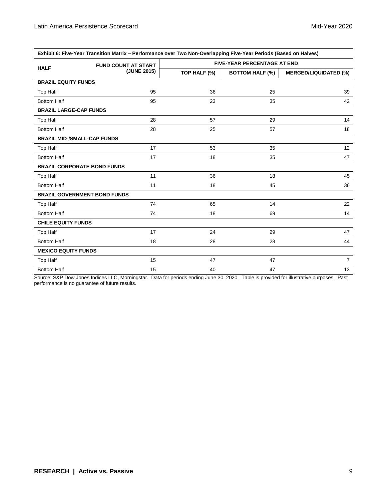| Exhibit 6: Five-Year Transition Matrix – Performance over Two Non-Overlapping Five-Year Periods (Based on Halves) |                            |              |                                    |                              |  |
|-------------------------------------------------------------------------------------------------------------------|----------------------------|--------------|------------------------------------|------------------------------|--|
|                                                                                                                   | <b>FUND COUNT AT START</b> |              | <b>FIVE-YEAR PERCENTAGE AT END</b> |                              |  |
| <b>HALF</b><br>(JUNE 2015)                                                                                        |                            | TOP HALF (%) | <b>BOTTOM HALF (%)</b>             | <b>MERGED/LIQUIDATED (%)</b> |  |
| <b>BRAZIL EQUITY FUNDS</b>                                                                                        |                            |              |                                    |                              |  |
| Top Half                                                                                                          | 95                         | 36           | 25                                 | 39                           |  |
| <b>Bottom Half</b>                                                                                                | 95                         | 23           | 35                                 | 42                           |  |
| <b>BRAZIL LARGE-CAP FUNDS</b>                                                                                     |                            |              |                                    |                              |  |
| <b>Top Half</b>                                                                                                   | 28                         | 57           | 29                                 | 14                           |  |
| <b>Bottom Half</b>                                                                                                | 28                         | 25           | 57                                 | 18                           |  |
| <b>BRAZIL MID-/SMALL-CAP FUNDS</b>                                                                                |                            |              |                                    |                              |  |
| <b>Top Half</b>                                                                                                   | 17                         | 53           | 35                                 | 12                           |  |
| <b>Bottom Half</b>                                                                                                | 17                         | 18           | 35                                 | 47                           |  |
| <b>BRAZIL CORPORATE BOND FUNDS</b>                                                                                |                            |              |                                    |                              |  |
| Top Half                                                                                                          | 11                         | 36           | 18                                 | 45                           |  |
| <b>Bottom Half</b>                                                                                                | 11                         | 18           | 45                                 | 36                           |  |
| <b>BRAZIL GOVERNMENT BOND FUNDS</b>                                                                               |                            |              |                                    |                              |  |
| <b>Top Half</b>                                                                                                   | 74                         | 65           | 14                                 | 22                           |  |
| <b>Bottom Half</b>                                                                                                | 74                         | 18           | 69                                 | 14                           |  |
| <b>CHILE EQUITY FUNDS</b>                                                                                         |                            |              |                                    |                              |  |
| <b>Top Half</b>                                                                                                   | 17                         | 24           | 29                                 | 47                           |  |
| <b>Bottom Half</b>                                                                                                | 18                         | 28           | 28                                 | 44                           |  |
| <b>MEXICO EQUITY FUNDS</b>                                                                                        |                            |              |                                    |                              |  |
| <b>Top Half</b>                                                                                                   | 15                         | 47           | 47                                 | $\overline{7}$               |  |
| <b>Bottom Half</b>                                                                                                | 15                         | 40           | 47                                 | 13                           |  |

| Exhibit 6: Five-Year Transition Matrix – Performance over Two Non-Overlapping Five-Year Periods (Based on Halves) |  |
|-------------------------------------------------------------------------------------------------------------------|--|
|                                                                                                                   |  |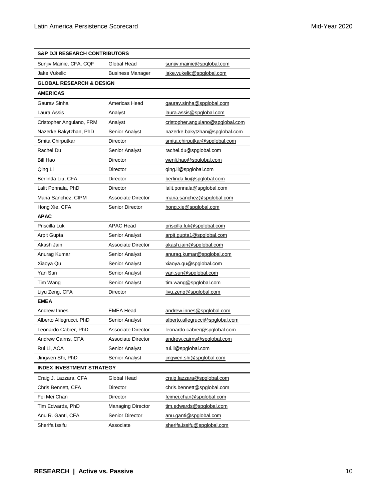| <b>S&amp;P DJI RESEARCH CONTRIBUTORS</b> |                           |                                  |  |  |  |
|------------------------------------------|---------------------------|----------------------------------|--|--|--|
| Sunjiv Mainie, CFA, CQF                  | Global Head               | sunjiv.mainie@spglobal.com       |  |  |  |
| Jake Vukelic                             | <b>Business Manager</b>   | jake.vukelic@spglobal.com        |  |  |  |
| <b>GLOBAL RESEARCH &amp; DESIGN</b>      |                           |                                  |  |  |  |
| <b>AMERICAS</b>                          |                           |                                  |  |  |  |
| Gaurav Sinha                             | Americas Head             | gaurav.sinha@spglobal.com        |  |  |  |
| Laura Assis                              | Analyst                   | laura.assis@spglobal.com         |  |  |  |
| Cristopher Anguiano, FRM                 | Analyst                   | cristopher.anguiano@spglobal.com |  |  |  |
| Nazerke Bakytzhan, PhD                   | Senior Analyst            | nazerke.bakytzhan@spglobal.com   |  |  |  |
| Smita Chirputkar                         | <b>Director</b>           | smita.chirputkar@spglobal.com    |  |  |  |
| Rachel Du                                | Senior Analyst            | rachel.du@spglobal.com           |  |  |  |
| Bill Hao                                 | Director                  | wenli.hao@spglobal.com           |  |  |  |
| Qing Li                                  | Director                  | ging.li@spglobal.com             |  |  |  |
| Berlinda Liu, CFA                        | Director                  | berlinda.liu@spglobal.com        |  |  |  |
| Lalit Ponnala, PhD                       | Director                  | lalit.ponnala@spglobal.com       |  |  |  |
| Maria Sanchez, CIPM                      | <b>Associate Director</b> | maria.sanchez@spglobal.com       |  |  |  |
| Hong Xie, CFA                            | <b>Senior Director</b>    | hong.xie@spglobal.com            |  |  |  |
| <b>APAC</b>                              |                           |                                  |  |  |  |
| Priscilla Luk                            | <b>APAC Head</b>          | priscilla.luk@spglobal.com       |  |  |  |
| Arpit Gupta                              | Senior Analyst            | arpit.gupta1@spglobal.com        |  |  |  |
| Akash Jain                               | Associate Director        | akash.jain@spglobal.com          |  |  |  |
| Anurag Kumar                             | Senior Analyst            | anurag.kumar@spglobal.com        |  |  |  |
| Xiaoya Qu                                | Senior Analyst            | xiaoya.qu@spglobal.com           |  |  |  |
| Yan Sun                                  | Senior Analyst            | yan.sun@spglobal.com             |  |  |  |
| Tim Wang                                 | Senior Analyst            | tim.wang@spglobal.com            |  |  |  |
| Liyu Zeng, CFA                           | Director                  | liyu.zeng@spglobal.com           |  |  |  |
| <b>EMEA</b>                              |                           |                                  |  |  |  |
| Andrew Innes                             | <b>EMEA Head</b>          | andrew.innes@spglobal.com        |  |  |  |
| Alberto Allegrucci, PhD                  | Senior Analyst            | alberto.allegrucci@spglobal.com  |  |  |  |
| Leonardo Cabrer, PhD                     | <b>Associate Director</b> | leonardo.cabrer@spglobal.com     |  |  |  |
| Andrew Cairns, CFA                       | Associate Director        | andrew.cairns@spglobal.com       |  |  |  |
| Rui Li, ACA                              | Senior Analyst            | rui.li@spglobal.com              |  |  |  |
| Jingwen Shi, PhD                         | Senior Analyst            | jingwen.shi@spglobal.com         |  |  |  |
| <b>INDEX INVESTMENT STRATEGY</b>         |                           |                                  |  |  |  |
| Craig J. Lazzara, CFA                    | Global Head               | craig.lazzara@spglobal.com       |  |  |  |
| Chris Bennett, CFA                       | Director                  | chris.bennett@spglobal.com       |  |  |  |
| Fei Mei Chan                             | Director                  | feimei.chan@spglobal.com         |  |  |  |
| Tim Edwards, PhD                         | <b>Managing Director</b>  | tim.edwards@spglobal.com         |  |  |  |
| Anu R. Ganti, CFA                        | <b>Senior Director</b>    | anu.ganti@spglobal.com           |  |  |  |
| Sherifa Issifu                           | Associate                 | sherifa.issifu@spglobal.com      |  |  |  |